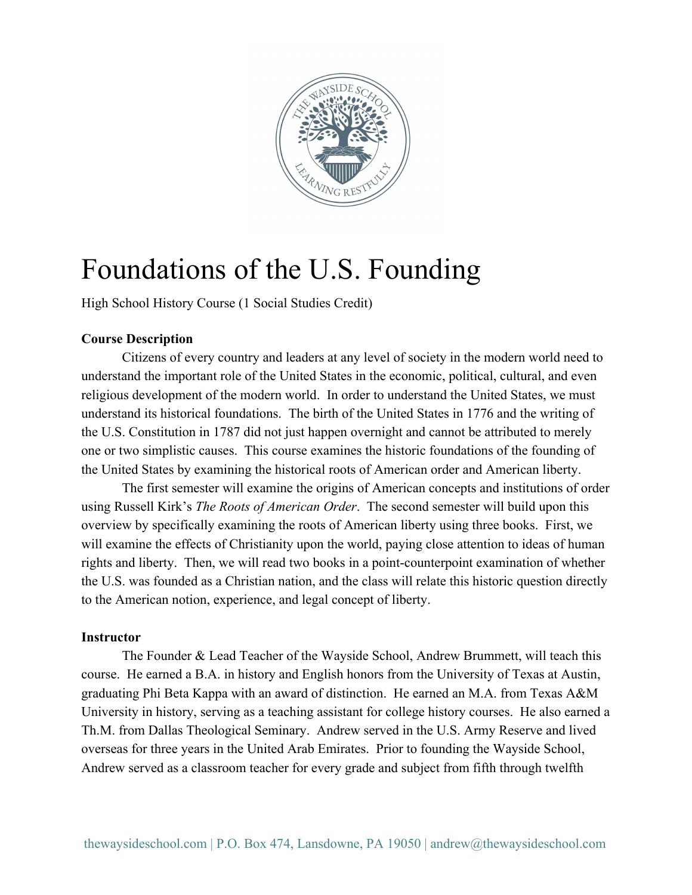

# Foundations of the U.S. Founding

High School History Course (1 Social Studies Credit)

### **Course Description**

Citizens of every country and leaders at any level of society in the modern world need to understand the important role of the United States in the economic, political, cultural, and even religious development of the modern world. In order to understand the United States, we must understand its historical foundations. The birth of the United States in 1776 and the writing of the U.S. Constitution in 1787 did not just happen overnight and cannot be attributed to merely one or two simplistic causes. This course examines the historic foundations of the founding of the United States by examining the historical roots of American order and American liberty.

The first semester will examine the origins of American concepts and institutions of order using Russell Kirk's *The Roots of American Order*. The second semester will build upon this overview by specifically examining the roots of American liberty using three books. First, we will examine the effects of Christianity upon the world, paying close attention to ideas of human rights and liberty. Then, we will read two books in a point-counterpoint examination of whether the U.S. was founded as a Christian nation, and the class will relate this historic question directly to the American notion, experience, and legal concept of liberty.

#### **Instructor**

The Founder & Lead Teacher of the Wayside School, Andrew Brummett, will teach this course. He earned a B.A. in history and English honors from the University of Texas at Austin, graduating Phi Beta Kappa with an award of distinction. He earned an M.A. from Texas A&M University in history, serving as a teaching assistant for college history courses. He also earned a Th.M. from Dallas Theological Seminary. Andrew served in the U.S. Army Reserve and lived overseas for three years in the United Arab Emirates. Prior to founding the Wayside School, Andrew served as a classroom teacher for every grade and subject from fifth through twelfth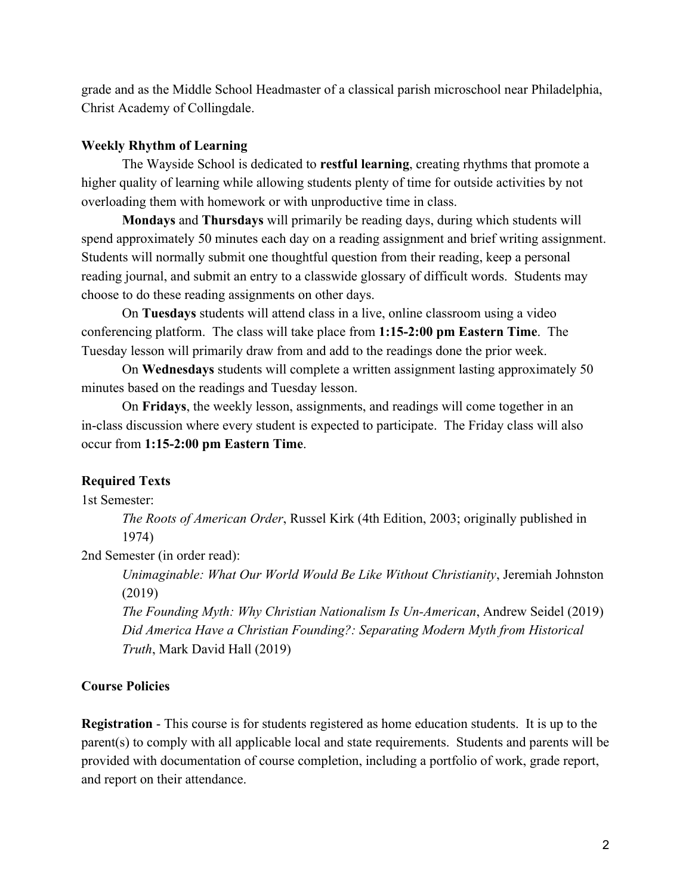grade and as the Middle School Headmaster of a classical parish microschool near Philadelphia, Christ Academy of Collingdale.

### **Weekly Rhythm of Learning**

The Wayside School is dedicated to **restful learning**, creating rhythms that promote a higher quality of learning while allowing students plenty of time for outside activities by not overloading them with homework or with unproductive time in class.

**Mondays** and **Thursdays** will primarily be reading days, during which students will spend approximately 50 minutes each day on a reading assignment and brief writing assignment. Students will normally submit one thoughtful question from their reading, keep a personal reading journal, and submit an entry to a classwide glossary of difficult words. Students may choose to do these reading assignments on other days.

On **Tuesdays** students will attend class in a live, online classroom using a video conferencing platform. The class will take place from **1:15-2:00 pm Eastern Time**. The Tuesday lesson will primarily draw from and add to the readings done the prior week.

On **Wednesdays** students will complete a written assignment lasting approximately 50 minutes based on the readings and Tuesday lesson.

On **Fridays**, the weekly lesson, assignments, and readings will come together in an in-class discussion where every student is expected to participate. The Friday class will also occur from **1:15-2:00 pm Eastern Time**.

## **Required Texts**

1st Semester:

*The Roots of American Order*, Russel Kirk (4th Edition, 2003; originally published in 1974)

2nd Semester (in order read):

*Unimaginable: What Our World Would Be Like Without Christianity*, Jeremiah Johnston (2019)

*The Founding Myth: Why Christian Nationalism Is Un-American*, Andrew Seidel (2019) *Did America Have a Christian Founding?: Separating Modern Myth from Historical Truth*, Mark David Hall (2019)

## **Course Policies**

**Registration** - This course is for students registered as home education students. It is up to the parent(s) to comply with all applicable local and state requirements. Students and parents will be provided with documentation of course completion, including a portfolio of work, grade report, and report on their attendance.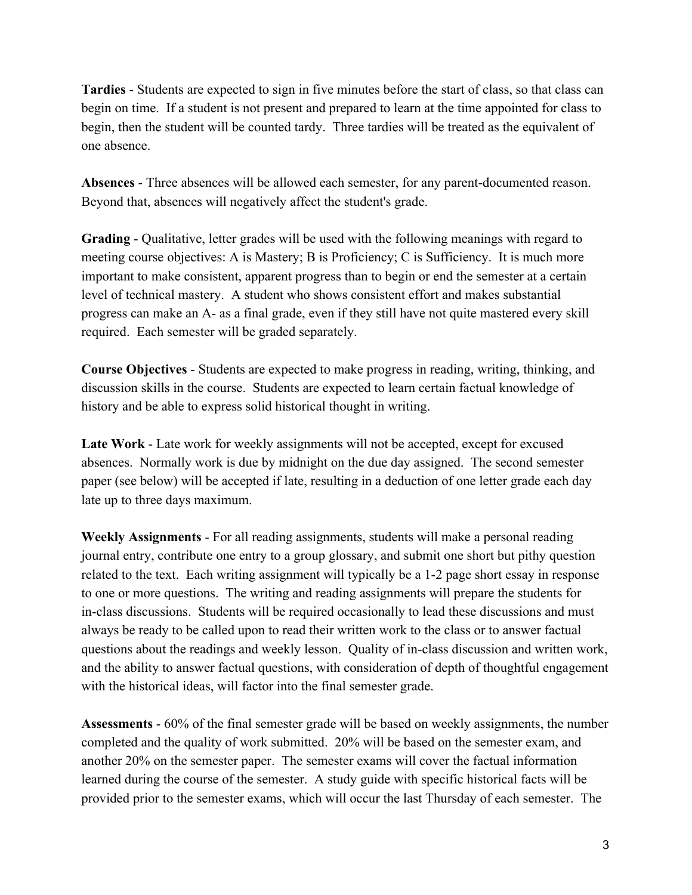**Tardies** - Students are expected to sign in five minutes before the start of class, so that class can begin on time. If a student is not present and prepared to learn at the time appointed for class to begin, then the student will be counted tardy. Three tardies will be treated as the equivalent of one absence.

**Absences** - Three absences will be allowed each semester, for any parent-documented reason. Beyond that, absences will negatively affect the student's grade.

**Grading** - Qualitative, letter grades will be used with the following meanings with regard to meeting course objectives: A is Mastery; B is Proficiency; C is Sufficiency. It is much more important to make consistent, apparent progress than to begin or end the semester at a certain level of technical mastery. A student who shows consistent effort and makes substantial progress can make an A- as a final grade, even if they still have not quite mastered every skill required. Each semester will be graded separately.

**Course Objectives** - Students are expected to make progress in reading, writing, thinking, and discussion skills in the course. Students are expected to learn certain factual knowledge of history and be able to express solid historical thought in writing.

**Late Work** - Late work for weekly assignments will not be accepted, except for excused absences. Normally work is due by midnight on the due day assigned. The second semester paper (see below) will be accepted if late, resulting in a deduction of one letter grade each day late up to three days maximum.

**Weekly Assignments** - For all reading assignments, students will make a personal reading journal entry, contribute one entry to a group glossary, and submit one short but pithy question related to the text. Each writing assignment will typically be a 1-2 page short essay in response to one or more questions. The writing and reading assignments will prepare the students for in-class discussions. Students will be required occasionally to lead these discussions and must always be ready to be called upon to read their written work to the class or to answer factual questions about the readings and weekly lesson. Quality of in-class discussion and written work, and the ability to answer factual questions, with consideration of depth of thoughtful engagement with the historical ideas, will factor into the final semester grade.

**Assessments** - 60% of the final semester grade will be based on weekly assignments, the number completed and the quality of work submitted. 20% will be based on the semester exam, and another 20% on the semester paper. The semester exams will cover the factual information learned during the course of the semester. A study guide with specific historical facts will be provided prior to the semester exams, which will occur the last Thursday of each semester. The